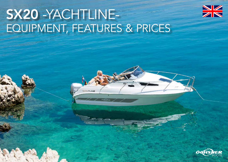

# SX20 -YACHTLINE-EQUIPMENT, FEATURES & PRICES



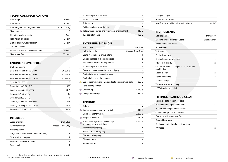### TECHNICAL SPECIFICATIONS

| <b>Total length</b>                    | $5,95 \; m$      |
|----------------------------------------|------------------|
| Total width                            | 2.28 m           |
| Total weight (boat / engine / trailer) | from 1.500 kg    |
| Max. persons                           | 6                |
| Standing height in cabin               | 142 cm           |
| Total height on trailer                | $2,52 \; m$      |
| Draft in shallow water position        | $0.42 \text{ m}$ |
| CF - certification                     | C                |
| Built-in tank made of stainless steel  | 140 Ltr.         |
| Max. speed fuel                        | 55 km/h          |

## ENGINE / DRIVE / FUEL

| Outboard engine                         | x        |
|-----------------------------------------|----------|
| Boat incl. Honda BF 60 LRTU             | 36.890 € |
| Boat incl. Honda BF 80 LRTU             | 41.930 € |
| Boat incl. Honda BF 100 LRTU            | 43.360 € |
| Cylinder 60 LRTU                        | 3        |
| Capacity in cm <sup>3</sup> 60 LRTU     | 998      |
| Loading capacity 60 LRTU                | 22 A     |
| Power in kW 60 LRTU                     | 45       |
| Cylinder 80/100 LRTU                    | 4        |
| Capacity in cm <sup>3</sup> 80/100 LRTU | 1496     |
| Loading capacity 80/100 LRTU            | 44 A     |
| Power in kW 80/100 LRTU                 | 59/74    |

## INTERIEUR

| Wood internals                            | Dark Blue         |
|-------------------------------------------|-------------------|
| Upholstery color                          | Mocca / Dark Grey |
| Sleeping places                           |                   |
| Large roof hatch (access to the foredeck) |                   |
| Side windows to open                      |                   |
| Additional windows in cabin               | 2                 |
| Basin / sink                              |                   |

| Marine carpet in anthracite                        |       |
|----------------------------------------------------|-------|
| Mirror in bow end                                  |       |
| Toilet room                                        | x     |
| Ceiling lighting / room lighting                   |       |
| Toilet with integrated and removable chemical tank | 410€  |
| 12V socket in cabin                                | 155 € |

## EXTERIEUR & DESIGN

| Wood color                                                  | Dark Blue         |
|-------------------------------------------------------------|-------------------|
| Upholstery color                                            | Mocca / Dark Grey |
| Seats in round seat group (stern)                           | 4                 |
| Sleeping places in the cockpit area                         | 2                 |
| Table in the cockpit area / persons                         | 5                 |
| Marine carpet in anthracite                                 | x                 |
| Seats with passive ventilation and flip-up                  | x                 |
| Sunbed places in the cockpit area                           | 2                 |
| Sunbed places on the sundeck                                | 2                 |
| Sun lounger cushions (lying and sitting position, rollable) | 620€              |
| Long bathing ladder                                         | x                 |
| Camper top                                                  | 1.980 €           |
| Cockpitpersenning                                           | 820€              |

#### **TECHNIC**

| Battery                                                          | x      |
|------------------------------------------------------------------|--------|
| Double battery system with switch                                | 410€   |
| Flectrical anchor winch                                          | 2.260€ |
| Fridge with icebox                                               | 770€   |
| Fresh water system with water tap<br>and stern shower incl. tank | 1.060€ |
| Trim system (engine)                                             | x      |
| Indirect LED spot lighting                                       | x      |
| Electrical bilge pump                                            | 1      |
| Electrical horn                                                  | x      |
| Mechanical gear                                                  | x      |
|                                                                  |        |

| Navigation lights                        |      |
|------------------------------------------|------|
| Smart Phone Connect                      |      |
| Modification suitable for Lake Constance | 410€ |

## **INSTRUMENTS**

| Cockpitpanel                                                 | Dark Grey      |
|--------------------------------------------------------------|----------------|
| Steering wheel (height adjustable)                           | Black / Silver |
| Switch panel incl. fuses                                     | x              |
| Rpm counter                                                  | x              |
| Voltmeter                                                    | x              |
| Engine hour meter                                            | x              |
| Engine temperature display                                   | x              |
| Power trim display                                           | x              |
| GPS chart-plotter / navigation / echo sounder<br>combination | x              |
| Speed display                                                | x              |
| Depth measuring                                              | x              |
| Depth warning                                                | x              |
| Water temperature display                                    | x              |
| 12 Volt socket at cockpit                                    | x              |

## FITTINGS / RAILING / CLEAT

| Massive cleats of stainless steel    |   |
|--------------------------------------|---|
| Pull and strapping eyelet at stern   | 2 |
| Anchor mounting of stainless steel   | x |
| Chain and rope box in bow area       | x |
| Flag stick with mount and flag       | x |
| Opened bow basket                    | x |
| Endless manufactured massive railing | x |
| VA treads                            | x |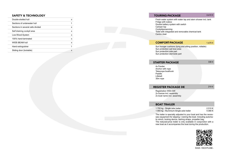#### SAFETY & TECHNOLOGY

| Double-shelled hull               | x |
|-----------------------------------|---|
| Sections of underwater hull       | 1 |
| Sections in several cells divided | x |
| Self draining cockpit area        | x |
| Low-Wood-System                   | x |
| 100% hand-laminated               | x |
| WIDE-BEAM hull                    | x |
| Hand extinguisher                 | 1 |
| Sliding door (lockable)           | x |

#### TOURING-PACKAGE 4.610 €

Fresh water system with water tap and stern shower incl. tank Fridge with icebox Double battery system with switch Camper top **Cockpitpersenning** Toilet with integrated and removable chemical tank Centre cleat

#### COMFORT-PACKAGE 1.670 €

Sun lounger cushions (lying and sitting position, rollable) Sun protection sail bow area Sun protection side part Sun protection sternside part

#### **STARTER PACKAGE**

330€

4x Fender Anchor with rope Telescope boathook Paddle Lifebelt 30m rope

#### **REGISTER PACKAGE DE**

210€

Registration WSA SW 2x license incl. assembly 2x boat name incl. assembly

#### BOAT TRAILER

1.700 kg - Single axle trailer 1.900 kg - Aluminium-Single axle trailer 2.510 € 4.080 €

The trailer is specially adjusted to your boat and has the neces sary equipment for slipping / craning the boat. Including automa tic winch, locking device, lashing straps, propeller bag. The reduced-price trailer is only available in conjunction with a new boat as it accompanies the boat during the production.



SX20 - YACHTLINE-